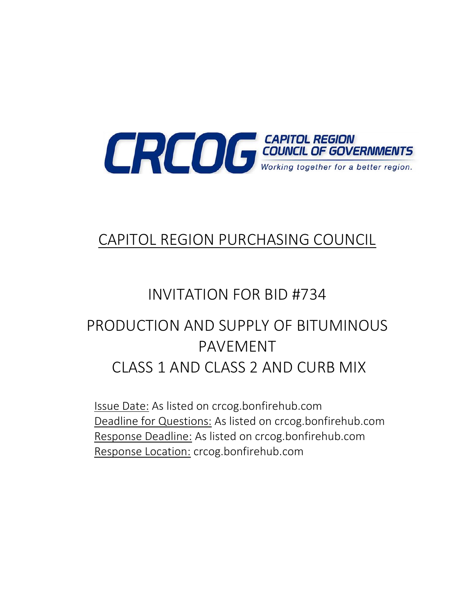

## CAPITOL REGION PURCHASING COUNCIL

# INVITATION FOR BID #734

# PRODUCTION AND SUPPLY OF BITUMINOUS PAVEMENT CLASS 1 AND CLASS 2 AND CURB MIX

Issue Date: As listed on crcog.bonfirehub.com Deadline for Questions: As listed on crcog.bonfirehub.com Response Deadline: As listed on crcog.bonfirehub.com Response Location: crcog.bonfirehub.com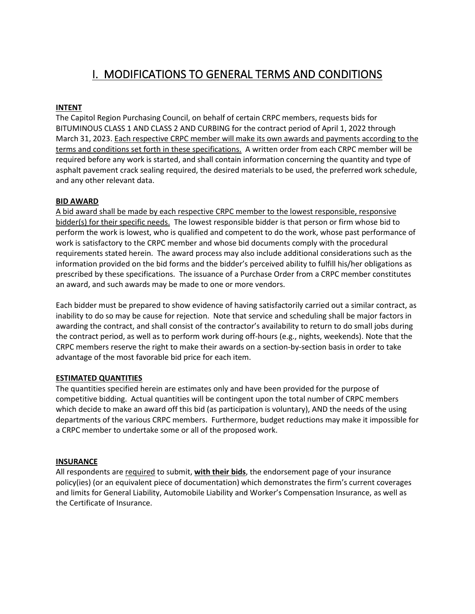## I. MODIFICATIONS TO GENERAL TERMS AND CONDITIONS

#### **INTENT**

The Capitol Region Purchasing Council, on behalf of certain CRPC members, requests bids for BITUMINOUS CLASS 1 AND CLASS 2 AND CURBING for the contract period of April 1, 2022 through March 31, 2023. Each respective CRPC member will make its own awards and payments according to the terms and conditions set forth in these specifications. A written order from each CRPC member will be required before any work is started, and shall contain information concerning the quantity and type of asphalt pavement crack sealing required, the desired materials to be used, the preferred work schedule, and any other relevant data.

#### **BID AWARD**

A bid award shall be made by each respective CRPC member to the lowest responsible, responsive bidder(s) for their specific needs. The lowest responsible bidder is that person or firm whose bid to perform the work is lowest, who is qualified and competent to do the work, whose past performance of work is satisfactory to the CRPC member and whose bid documents comply with the procedural requirements stated herein. The award process may also include additional considerations such as the information provided on the bid forms and the bidder's perceived ability to fulfill his/her obligations as prescribed by these specifications. The issuance of a Purchase Order from a CRPC member constitutes an award, and such awards may be made to one or more vendors.

Each bidder must be prepared to show evidence of having satisfactorily carried out a similar contract, as inability to do so may be cause for rejection. Note that service and scheduling shall be major factors in awarding the contract, and shall consist of the contractor's availability to return to do small jobs during the contract period, as well as to perform work during off-hours (e.g., nights, weekends). Note that the CRPC members reserve the right to make their awards on a section-by-section basis in order to take advantage of the most favorable bid price for each item.

#### **ESTIMATED QUANTITIES**

The quantities specified herein are estimates only and have been provided for the purpose of competitive bidding. Actual quantities will be contingent upon the total number of CRPC members which decide to make an award off this bid (as participation is voluntary), AND the needs of the using departments of the various CRPC members. Furthermore, budget reductions may make it impossible for a CRPC member to undertake some or all of the proposed work.

#### **INSURANCE**

All respondents are required to submit, **with their bids**, the endorsement page of your insurance policy(ies) (or an equivalent piece of documentation) which demonstrates the firm's current coverages and limits for General Liability, Automobile Liability and Worker's Compensation Insurance, as well as the Certificate of Insurance.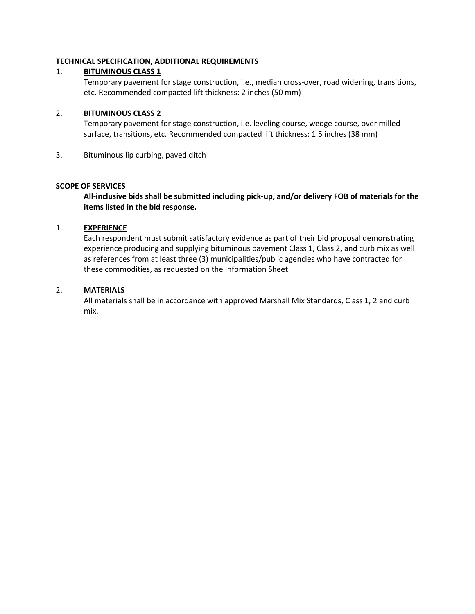#### **TECHNICAL SPECIFICATION, ADDITIONAL REQUIREMENTS**

#### 1. **BITUMINOUS CLASS 1**

Temporary pavement for stage construction, i.e., median cross-over, road widening, transitions, etc. Recommended compacted lift thickness: 2 inches (50 mm)

#### 2. **BITUMINOUS CLASS 2**

Temporary pavement for stage construction, i.e. leveling course, wedge course, over milled surface, transitions, etc. Recommended compacted lift thickness: 1.5 inches (38 mm)

3. Bituminous lip curbing, paved ditch

#### **SCOPE OF SERVICES**

**All-inclusive bids shall be submitted including pick-up, and/or delivery FOB of materials for the items listed in the bid response.**

#### 1. **EXPERIENCE**

Each respondent must submit satisfactory evidence as part of their bid proposal demonstrating experience producing and supplying bituminous pavement Class 1, Class 2, and curb mix as well as references from at least three (3) municipalities/public agencies who have contracted for these commodities, as requested on the Information Sheet

#### 2. **MATERIALS**

All materials shall be in accordance with approved Marshall Mix Standards, Class 1, 2 and curb mix.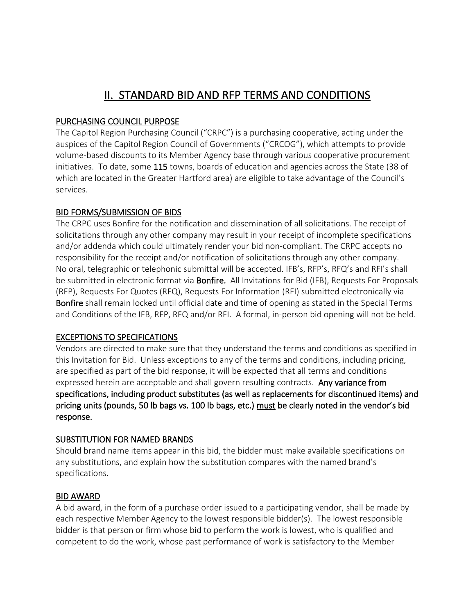## II. STANDARD BID AND RFP TERMS AND CONDITIONS

### PURCHASING COUNCIL PURPOSE

The Capitol Region Purchasing Council ("CRPC") is a purchasing cooperative, acting under the auspices of the Capitol Region Council of Governments ("CRCOG"), which attempts to provide volume-based discounts to its Member Agency base through various cooperative procurement initiatives. To date, some 115 towns, boards of education and agencies across the State (38 of which are located in the Greater Hartford area) are eligible to take advantage of the Council's services.

#### BID FORMS/SUBMISSION OF BIDS

The CRPC uses Bonfire for the notification and dissemination of all solicitations. The receipt of solicitations through any other company may result in your receipt of incomplete specifications and/or addenda which could ultimately render your bid non-compliant. The CRPC accepts no responsibility for the receipt and/or notification of solicitations through any other company. No oral, telegraphic or telephonic submittal will be accepted. IFB's, RFP's, RFQ's and RFI's shall be submitted in electronic format via **Bonfire.** All Invitations for Bid (IFB), Requests For Proposals (RFP), Requests For Quotes (RFQ), Requests For Information (RFI) submitted electronically via Bonfire shall remain locked until official date and time of opening as stated in the Special Terms and Conditions of the IFB, RFP, RFQ and/or RFI. A formal, in-person bid opening will not be held.

#### EXCEPTIONS TO SPECIFICATIONS

Vendors are directed to make sure that they understand the terms and conditions as specified in this Invitation for Bid. Unless exceptions to any of the terms and conditions, including pricing, are specified as part of the bid response, it will be expected that all terms and conditions expressed herein are acceptable and shall govern resulting contracts. Any variance from specifications, including product substitutes (as well as replacements for discontinued items) and pricing units (pounds, 50 lb bags vs. 100 lb bags, etc.) must be clearly noted in the vendor's bid response.

#### SUBSTITUTION FOR NAMED BRANDS

Should brand name items appear in this bid, the bidder must make available specifications on any substitutions, and explain how the substitution compares with the named brand's specifications.

#### BID AWARD

A bid award, in the form of a purchase order issued to a participating vendor, shall be made by each respective Member Agency to the lowest responsible bidder(s). The lowest responsible bidder is that person or firm whose bid to perform the work is lowest, who is qualified and competent to do the work, whose past performance of work is satisfactory to the Member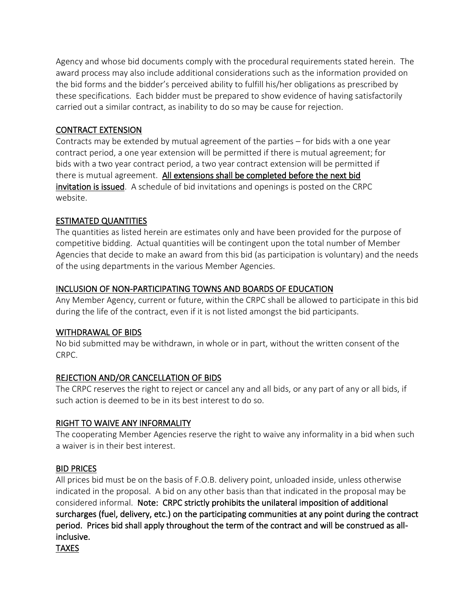Agency and whose bid documents comply with the procedural requirements stated herein. The award process may also include additional considerations such as the information provided on the bid forms and the bidder's perceived ability to fulfill his/her obligations as prescribed by these specifications. Each bidder must be prepared to show evidence of having satisfactorily carried out a similar contract, as inability to do so may be cause for rejection.

### CONTRACT EXTENSION

Contracts may be extended by mutual agreement of the parties – for bids with a one year contract period, a one year extension will be permitted if there is mutual agreement; for bids with a two year contract period, a two year contract extension will be permitted if there is mutual agreement. All extensions shall be completed before the next bid invitation is issued. A schedule of bid invitations and openings is posted on the CRPC website.

## ESTIMATED QUANTITIES

The quantities as listed herein are estimates only and have been provided for the purpose of competitive bidding. Actual quantities will be contingent upon the total number of Member Agencies that decide to make an award from this bid (as participation is voluntary) and the needs of the using departments in the various Member Agencies.

## INCLUSION OF NON-PARTICIPATING TOWNS AND BOARDS OF EDUCATION

Any Member Agency, current or future, within the CRPC shall be allowed to participate in this bid during the life of the contract, even if it is not listed amongst the bid participants.

#### WITHDRAWAL OF BIDS

No bid submitted may be withdrawn, in whole or in part, without the written consent of the CRPC.

## REJECTION AND/OR CANCELLATION OF BIDS

The CRPC reserves the right to reject or cancel any and all bids, or any part of any or all bids, if such action is deemed to be in its best interest to do so.

#### RIGHT TO WAIVE ANY INFORMALITY

The cooperating Member Agencies reserve the right to waive any informality in a bid when such a waiver is in their best interest.

#### BID PRICES

All prices bid must be on the basis of F.O.B. delivery point, unloaded inside, unless otherwise indicated in the proposal. A bid on any other basis than that indicated in the proposal may be considered informal. Note: CRPC strictly prohibits the unilateral imposition of additional surcharges (fuel, delivery, etc.) on the participating communities at any point during the contract period. Prices bid shall apply throughout the term of the contract and will be construed as allinclusive.

TAXES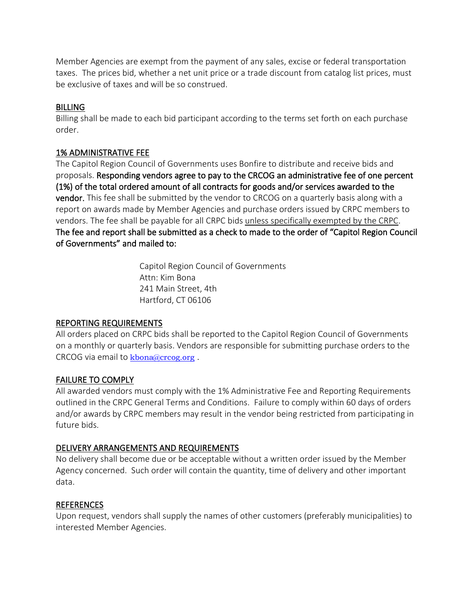Member Agencies are exempt from the payment of any sales, excise or federal transportation taxes. The prices bid, whether a net unit price or a trade discount from catalog list prices, must be exclusive of taxes and will be so construed.

#### BILLING

Billing shall be made to each bid participant according to the terms set forth on each purchase order.

#### 1% ADMINISTRATIVE FEE

The Capitol Region Council of Governments uses Bonfire to distribute and receive bids and proposals. Responding vendors agree to pay to the CRCOG an administrative fee of one percent (1%) of the total ordered amount of all contracts for goods and/or services awarded to the vendor. This fee shall be submitted by the vendor to CRCOG on a quarterly basis along with a report on awards made by Member Agencies and purchase orders issued by CRPC members to vendors. The fee shall be payable for all CRPC bids unless specifically exempted by the CRPC. The fee and report shall be submitted as a check to made to the order of "Capitol Region Council of Governments" and mailed to:

> Capitol Region Council of Governments Attn: Kim Bona 241 Main Street, 4th Hartford, CT 06106

## REPORTING REQUIREMENTS

All orders placed on CRPC bids shall be reported to the Capitol Region Council of Governments on a monthly or quarterly basis. Vendors are responsible for submitting purchase orders to the CRCOG via email to  $\frac{\text{kbona}(a)\text{cross,}$ .

## FAILURE TO COMPLY

All awarded vendors must comply with the 1% Administrative Fee and Reporting Requirements outlined in the CRPC General Terms and Conditions. Failure to comply within 60 days of orders and/or awards by CRPC members may result in the vendor being restricted from participating in future bids.

#### DELIVERY ARRANGEMENTS AND REQUIREMENTS

No delivery shall become due or be acceptable without a written order issued by the Member Agency concerned. Such order will contain the quantity, time of delivery and other important data.

## REFERENCES

Upon request, vendors shall supply the names of other customers (preferably municipalities) to interested Member Agencies.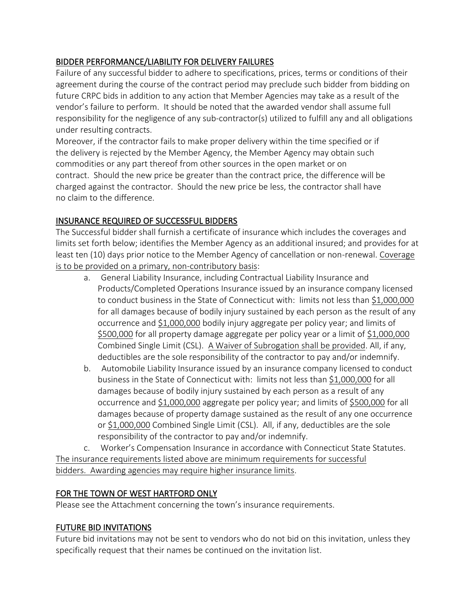## BIDDER PERFORMANCE/LIABILITY FOR DELIVERY FAILURES

Failure of any successful bidder to adhere to specifications, prices, terms or conditions of their agreement during the course of the contract period may preclude such bidder from bidding on future CRPC bids in addition to any action that Member Agencies may take as a result of the vendor's failure to perform. It should be noted that the awarded vendor shall assume full responsibility for the negligence of any sub-contractor(s) utilized to fulfill any and all obligations under resulting contracts.

Moreover, if the contractor fails to make proper delivery within the time specified or if the delivery is rejected by the Member Agency, the Member Agency may obtain such commodities or any part thereof from other sources in the open market or on contract. Should the new price be greater than the contract price, the difference will be charged against the contractor. Should the new price be less, the contractor shall have no claim to the difference.

## INSURANCE REQUIRED OF SUCCESSFUL BIDDERS

The Successful bidder shall furnish a certificate of insurance which includes the coverages and limits set forth below; identifies the Member Agency as an additional insured; and provides for at least ten (10) days prior notice to the Member Agency of cancellation or non-renewal. Coverage is to be provided on a primary, non-contributory basis:

- a. General Liability Insurance, including Contractual Liability Insurance and Products/Completed Operations Insurance issued by an insurance company licensed to conduct business in the State of Connecticut with: limits not less than \$1,000,000 for all damages because of bodily injury sustained by each person as the result of any occurrence and \$1,000,000 bodily injury aggregate per policy year; and limits of \$500,000 for all property damage aggregate per policy year or a limit of \$1,000,000 Combined Single Limit (CSL). A Waiver of Subrogation shall be provided. All, if any, deductibles are the sole responsibility of the contractor to pay and/or indemnify.
- b. Automobile Liability Insurance issued by an insurance company licensed to conduct business in the State of Connecticut with: limits not less than \$1,000,000 for all damages because of bodily injury sustained by each person as a result of any occurrence and \$1,000,000 aggregate per policy year; and limits of \$500,000 for all damages because of property damage sustained as the result of any one occurrence or \$1,000,000 Combined Single Limit (CSL). All, if any, deductibles are the sole responsibility of the contractor to pay and/or indemnify.

c. Worker's Compensation Insurance in accordance with Connecticut State Statutes. The insurance requirements listed above are minimum requirements for successful bidders. Awarding agencies may require higher insurance limits.

#### FOR THE TOWN OF WEST HARTFORD ONLY

Please see the Attachment concerning the town's insurance requirements.

#### FUTURE BID INVITATIONS

Future bid invitations may not be sent to vendors who do not bid on this invitation, unless they specifically request that their names be continued on the invitation list.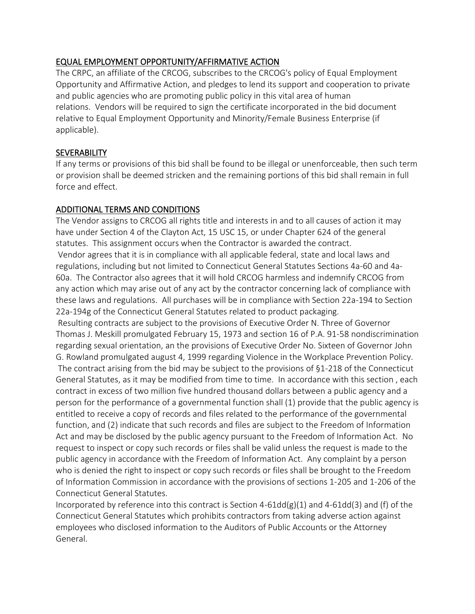### EQUAL EMPLOYMENT OPPORTUNITY/AFFIRMATIVE ACTION

The CRPC, an affiliate of the CRCOG, subscribes to the CRCOG's policy of Equal Employment Opportunity and Affirmative Action, and pledges to lend its support and cooperation to private and public agencies who are promoting public policy in this vital area of human relations. Vendors will be required to sign the certificate incorporated in the bid document relative to Equal Employment Opportunity and Minority/Female Business Enterprise (if applicable).

### **SEVERABILITY**

If any terms or provisions of this bid shall be found to be illegal or unenforceable, then such term or provision shall be deemed stricken and the remaining portions of this bid shall remain in full force and effect.

## ADDITIONAL TERMS AND CONDITIONS

The Vendor assigns to CRCOG all rights title and interests in and to all causes of action it may have under Section 4 of the Clayton Act, 15 USC 15, or under Chapter 624 of the general statutes. This assignment occurs when the Contractor is awarded the contract. Vendor agrees that it is in compliance with all applicable federal, state and local laws and regulations, including but not limited to Connecticut General Statutes Sections 4a-60 and 4a-60a. The Contractor also agrees that it will hold CRCOG harmless and indemnify CRCOG from any action which may arise out of any act by the contractor concerning lack of compliance with these laws and regulations. All purchases will be in compliance with Section 22a-194 to Section 22a-194g of the Connecticut General Statutes related to product packaging. Resulting contracts are subject to the provisions of Executive Order N. Three of Governor Thomas J. Meskill promulgated February 15, 1973 and section 16 of P.A. 91-58 nondiscrimination regarding sexual orientation, an the provisions of Executive Order No. Sixteen of Governor John G. Rowland promulgated august 4, 1999 regarding Violence in the Workplace Prevention Policy. The contract arising from the bid may be subject to the provisions of §1-218 of the Connecticut

General Statutes, as it may be modified from time to time. In accordance with this section , each contract in excess of two million five hundred thousand dollars between a public agency and a person for the performance of a governmental function shall (1) provide that the public agency is entitled to receive a copy of records and files related to the performance of the governmental function, and (2) indicate that such records and files are subject to the Freedom of Information Act and may be disclosed by the public agency pursuant to the Freedom of Information Act. No request to inspect or copy such records or files shall be valid unless the request is made to the public agency in accordance with the Freedom of Information Act. Any complaint by a person who is denied the right to inspect or copy such records or files shall be brought to the Freedom of Information Commission in accordance with the provisions of sections 1-205 and 1-206 of the Connecticut General Statutes.

Incorporated by reference into this contract is Section 4-61dd(g)(1) and 4-61dd(3) and (f) of the Connecticut General Statutes which prohibits contractors from taking adverse action against employees who disclosed information to the Auditors of Public Accounts or the Attorney General.